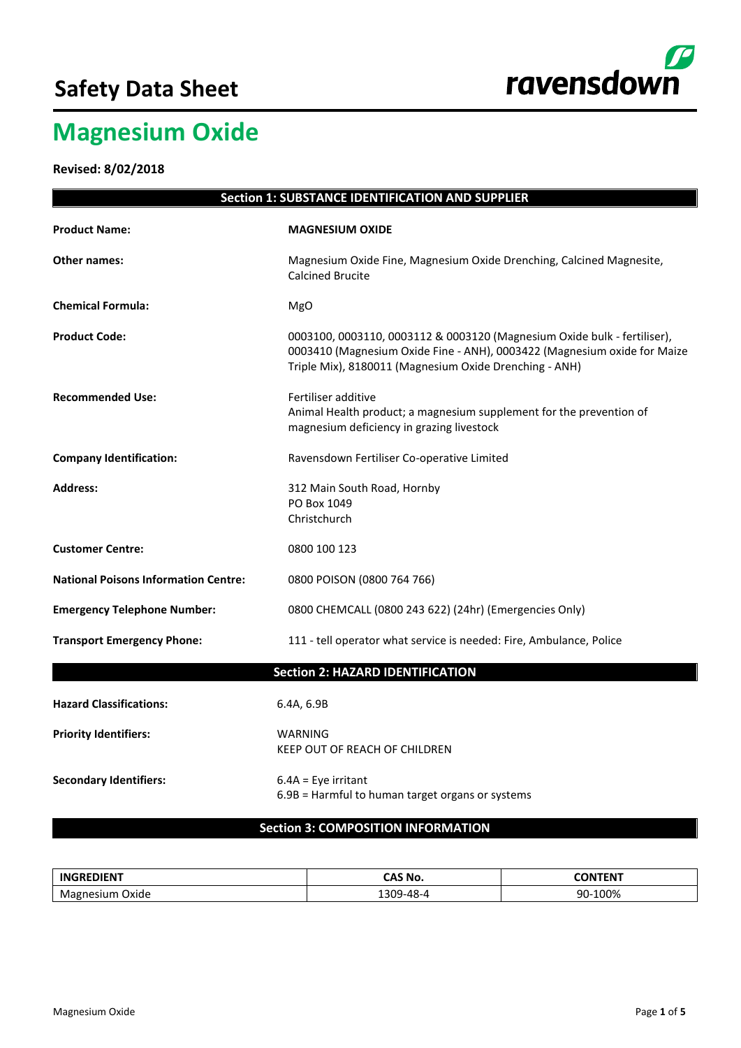## **Safety Data Sheet**



# **Magnesium Oxide**

**Revised: 8/02/2018**

| <b>Section 1: SUBSTANCE IDENTIFICATION AND SUPPLIER</b> |                                                                                                                                                                                                                |  |  |
|---------------------------------------------------------|----------------------------------------------------------------------------------------------------------------------------------------------------------------------------------------------------------------|--|--|
| <b>Product Name:</b>                                    | <b>MAGNESIUM OXIDE</b>                                                                                                                                                                                         |  |  |
| <b>Other names:</b>                                     | Magnesium Oxide Fine, Magnesium Oxide Drenching, Calcined Magnesite,<br><b>Calcined Brucite</b>                                                                                                                |  |  |
| <b>Chemical Formula:</b>                                | MgO                                                                                                                                                                                                            |  |  |
| <b>Product Code:</b>                                    | 0003100, 0003110, 0003112 & 0003120 (Magnesium Oxide bulk - fertiliser),<br>0003410 (Magnesium Oxide Fine - ANH), 0003422 (Magnesium oxide for Maize<br>Triple Mix), 8180011 (Magnesium Oxide Drenching - ANH) |  |  |
| <b>Recommended Use:</b>                                 | Fertiliser additive<br>Animal Health product; a magnesium supplement for the prevention of<br>magnesium deficiency in grazing livestock                                                                        |  |  |
| <b>Company Identification:</b>                          | Ravensdown Fertiliser Co-operative Limited                                                                                                                                                                     |  |  |
| <b>Address:</b>                                         | 312 Main South Road, Hornby<br>PO Box 1049<br>Christchurch                                                                                                                                                     |  |  |
| <b>Customer Centre:</b>                                 | 0800 100 123                                                                                                                                                                                                   |  |  |
| <b>National Poisons Information Centre:</b>             | 0800 POISON (0800 764 766)                                                                                                                                                                                     |  |  |
| <b>Emergency Telephone Number:</b>                      | 0800 CHEMCALL (0800 243 622) (24hr) (Emergencies Only)                                                                                                                                                         |  |  |
| <b>Transport Emergency Phone:</b>                       | 111 - tell operator what service is needed: Fire, Ambulance, Police                                                                                                                                            |  |  |
|                                                         | <b>Section 2: HAZARD IDENTIFICATION</b>                                                                                                                                                                        |  |  |
| <b>Hazard Classifications:</b>                          | 6.4A, 6.9B                                                                                                                                                                                                     |  |  |
| <b>Priority Identifiers:</b>                            | <b>WARNING</b><br>KEEP OUT OF REACH OF CHILDREN                                                                                                                                                                |  |  |
| <b>Secondary Identifiers:</b>                           | $6.4A = Eye$ irritant<br>6.9B = Harmful to human target organs or systems                                                                                                                                      |  |  |
|                                                         | <b>Section 3: COMPOSITION INFORMATION</b>                                                                                                                                                                      |  |  |

| <b>INGREDIENT</b>  | CAS No.<br>_____        | --------<br>'NN<br>ЧN. |
|--------------------|-------------------------|------------------------|
| Oxide<br>Ma<br>SH. | ാറല<br>-48-<br>י<br>. . | $\sim$<br>חנ<br>.UU%   |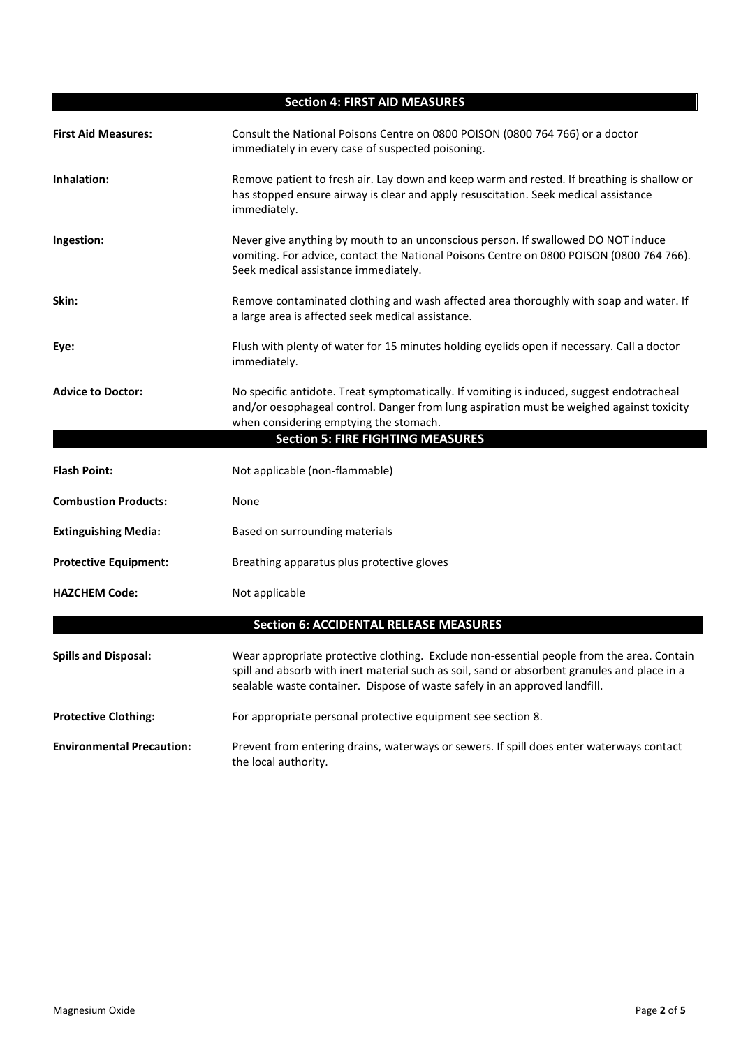| <b>Section 4: FIRST AID MEASURES</b> |                                                                                                                                                                                                                                                                         |  |  |  |
|--------------------------------------|-------------------------------------------------------------------------------------------------------------------------------------------------------------------------------------------------------------------------------------------------------------------------|--|--|--|
| <b>First Aid Measures:</b>           | Consult the National Poisons Centre on 0800 POISON (0800 764 766) or a doctor<br>immediately in every case of suspected poisoning.                                                                                                                                      |  |  |  |
| Inhalation:                          | Remove patient to fresh air. Lay down and keep warm and rested. If breathing is shallow or<br>has stopped ensure airway is clear and apply resuscitation. Seek medical assistance<br>immediately.                                                                       |  |  |  |
| Ingestion:                           | Never give anything by mouth to an unconscious person. If swallowed DO NOT induce<br>vomiting. For advice, contact the National Poisons Centre on 0800 POISON (0800 764 766).<br>Seek medical assistance immediately.                                                   |  |  |  |
| Skin:                                | Remove contaminated clothing and wash affected area thoroughly with soap and water. If<br>a large area is affected seek medical assistance.                                                                                                                             |  |  |  |
| Eye:                                 | Flush with plenty of water for 15 minutes holding eyelids open if necessary. Call a doctor<br>immediately.                                                                                                                                                              |  |  |  |
| <b>Advice to Doctor:</b>             | No specific antidote. Treat symptomatically. If vomiting is induced, suggest endotracheal<br>and/or oesophageal control. Danger from lung aspiration must be weighed against toxicity<br>when considering emptying the stomach.                                         |  |  |  |
|                                      | <b>Section 5: FIRE FIGHTING MEASURES</b>                                                                                                                                                                                                                                |  |  |  |
| <b>Flash Point:</b>                  | Not applicable (non-flammable)                                                                                                                                                                                                                                          |  |  |  |
| <b>Combustion Products:</b>          | None                                                                                                                                                                                                                                                                    |  |  |  |
| <b>Extinguishing Media:</b>          | Based on surrounding materials                                                                                                                                                                                                                                          |  |  |  |
| <b>Protective Equipment:</b>         | Breathing apparatus plus protective gloves                                                                                                                                                                                                                              |  |  |  |
| <b>HAZCHEM Code:</b>                 | Not applicable                                                                                                                                                                                                                                                          |  |  |  |
|                                      | <b>Section 6: ACCIDENTAL RELEASE MEASURES</b>                                                                                                                                                                                                                           |  |  |  |
| <b>Spills and Disposal:</b>          | Wear appropriate protective clothing. Exclude non-essential people from the area. Contain<br>spill and absorb with inert material such as soil, sand or absorbent granules and place in a<br>sealable waste container. Dispose of waste safely in an approved landfill. |  |  |  |
| <b>Protective Clothing:</b>          | For appropriate personal protective equipment see section 8.                                                                                                                                                                                                            |  |  |  |
| <b>Environmental Precaution:</b>     | Prevent from entering drains, waterways or sewers. If spill does enter waterways contact<br>the local authority.                                                                                                                                                        |  |  |  |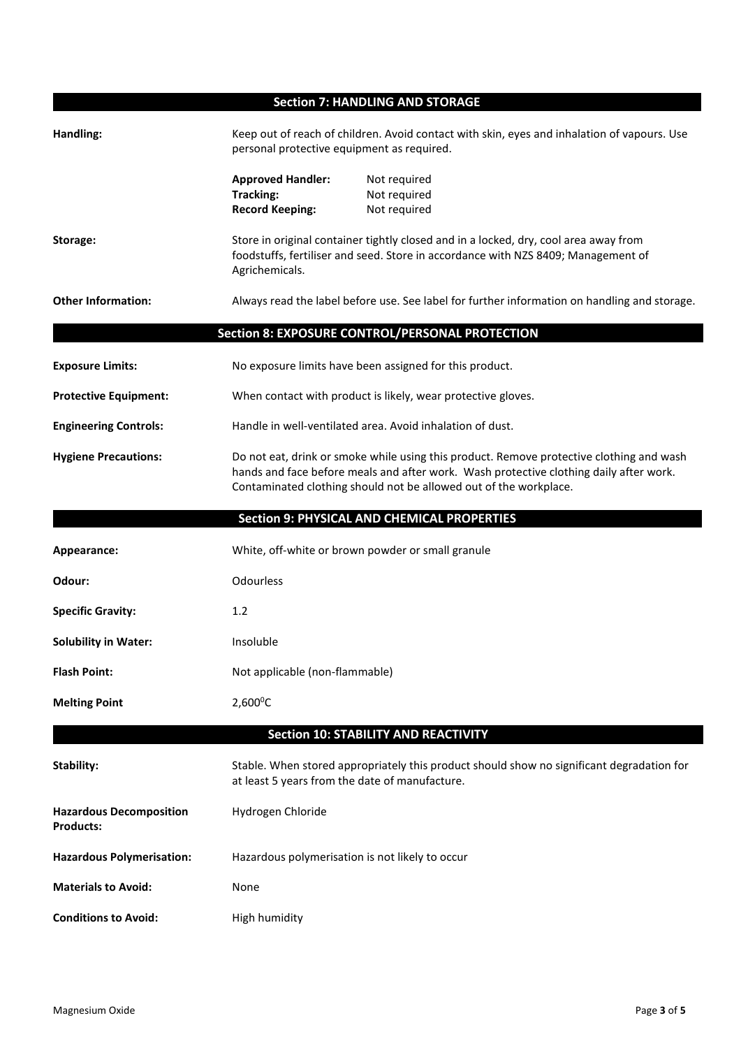**Section 7: HANDLING AND STORAGE**

| Handling:                                          | Keep out of reach of children. Avoid contact with skin, eyes and inhalation of vapours. Use<br>personal protective equipment as required.                                                                                                               |                                                                                                                                                                           |  |
|----------------------------------------------------|---------------------------------------------------------------------------------------------------------------------------------------------------------------------------------------------------------------------------------------------------------|---------------------------------------------------------------------------------------------------------------------------------------------------------------------------|--|
|                                                    | <b>Approved Handler:</b><br><b>Tracking:</b><br><b>Record Keeping:</b>                                                                                                                                                                                  | Not required<br>Not required<br>Not required                                                                                                                              |  |
| Storage:                                           | Agrichemicals.                                                                                                                                                                                                                                          | Store in original container tightly closed and in a locked, dry, cool area away from<br>foodstuffs, fertiliser and seed. Store in accordance with NZS 8409; Management of |  |
| <b>Other Information:</b>                          |                                                                                                                                                                                                                                                         | Always read the label before use. See label for further information on handling and storage.                                                                              |  |
|                                                    |                                                                                                                                                                                                                                                         | Section 8: EXPOSURE CONTROL/PERSONAL PROTECTION                                                                                                                           |  |
| <b>Exposure Limits:</b>                            |                                                                                                                                                                                                                                                         | No exposure limits have been assigned for this product.                                                                                                                   |  |
| <b>Protective Equipment:</b>                       |                                                                                                                                                                                                                                                         | When contact with product is likely, wear protective gloves.                                                                                                              |  |
| <b>Engineering Controls:</b>                       |                                                                                                                                                                                                                                                         | Handle in well-ventilated area. Avoid inhalation of dust.                                                                                                                 |  |
| <b>Hygiene Precautions:</b>                        | Do not eat, drink or smoke while using this product. Remove protective clothing and wash<br>hands and face before meals and after work. Wash protective clothing daily after work.<br>Contaminated clothing should not be allowed out of the workplace. |                                                                                                                                                                           |  |
|                                                    |                                                                                                                                                                                                                                                         | <b>Section 9: PHYSICAL AND CHEMICAL PROPERTIES</b>                                                                                                                        |  |
|                                                    |                                                                                                                                                                                                                                                         |                                                                                                                                                                           |  |
| Appearance:                                        | White, off-white or brown powder or small granule                                                                                                                                                                                                       |                                                                                                                                                                           |  |
| Odour:                                             | Odourless                                                                                                                                                                                                                                               |                                                                                                                                                                           |  |
| <b>Specific Gravity:</b>                           | 1.2                                                                                                                                                                                                                                                     |                                                                                                                                                                           |  |
| <b>Solubility in Water:</b>                        | Insoluble                                                                                                                                                                                                                                               |                                                                                                                                                                           |  |
| <b>Flash Point:</b>                                | Not applicable (non-flammable)                                                                                                                                                                                                                          |                                                                                                                                                                           |  |
| <b>Melting Point</b>                               | $2,600^{\circ}$ C                                                                                                                                                                                                                                       |                                                                                                                                                                           |  |
|                                                    |                                                                                                                                                                                                                                                         | <b>Section 10: STABILITY AND REACTIVITY</b>                                                                                                                               |  |
| Stability:                                         | at least 5 years from the date of manufacture.                                                                                                                                                                                                          | Stable. When stored appropriately this product should show no significant degradation for                                                                                 |  |
| <b>Hazardous Decomposition</b><br><b>Products:</b> | Hydrogen Chloride                                                                                                                                                                                                                                       |                                                                                                                                                                           |  |
| <b>Hazardous Polymerisation:</b>                   | Hazardous polymerisation is not likely to occur                                                                                                                                                                                                         |                                                                                                                                                                           |  |
| <b>Materials to Avoid:</b>                         | None                                                                                                                                                                                                                                                    |                                                                                                                                                                           |  |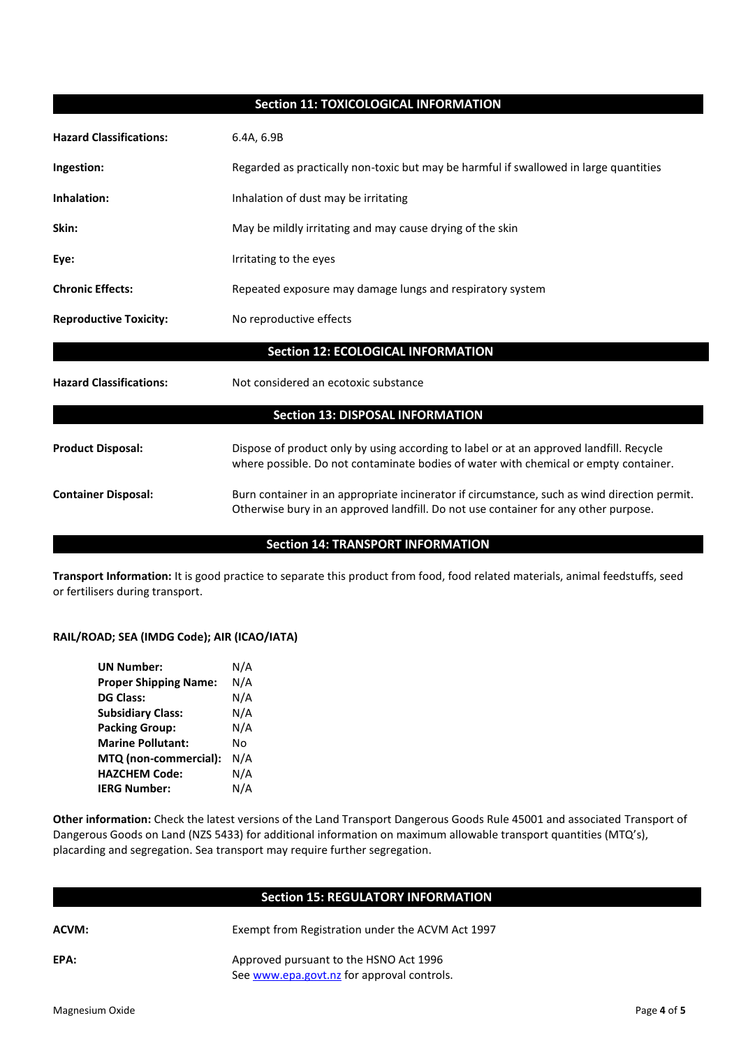#### **Section 11: TOXICOLOGICAL INFORMATION**

| <b>Hazard Classifications:</b>            | 6.4A, 6.9B                                                                                                                                                                          |  |
|-------------------------------------------|-------------------------------------------------------------------------------------------------------------------------------------------------------------------------------------|--|
| Ingestion:                                | Regarded as practically non-toxic but may be harmful if swallowed in large quantities                                                                                               |  |
| Inhalation:                               | Inhalation of dust may be irritating                                                                                                                                                |  |
| Skin:                                     | May be mildly irritating and may cause drying of the skin                                                                                                                           |  |
| Eye:                                      | Irritating to the eyes                                                                                                                                                              |  |
| <b>Chronic Effects:</b>                   | Repeated exposure may damage lungs and respiratory system                                                                                                                           |  |
| <b>Reproductive Toxicity:</b>             | No reproductive effects                                                                                                                                                             |  |
| <b>Section 12: ECOLOGICAL INFORMATION</b> |                                                                                                                                                                                     |  |
| <b>Hazard Classifications:</b>            | Not considered an ecotoxic substance                                                                                                                                                |  |
|                                           | <b>Section 13: DISPOSAL INFORMATION</b>                                                                                                                                             |  |
| <b>Product Disposal:</b>                  | Dispose of product only by using according to label or at an approved landfill. Recycle<br>where possible. Do not contaminate bodies of water with chemical or empty container.     |  |
| <b>Container Disposal:</b>                | Burn container in an appropriate incinerator if circumstance, such as wind direction permit.<br>Otherwise bury in an approved landfill. Do not use container for any other purpose. |  |
|                                           | <b>Section 14: TRANSPORT INFORMATION</b>                                                                                                                                            |  |

**Transport Information:** It is good practice to separate this product from food, food related materials, animal feedstuffs, seed or fertilisers during transport.

#### **RAIL/ROAD; SEA (IMDG Code); AIR (ICAO/IATA)**

| <b>UN Number:</b>            | N/A |
|------------------------------|-----|
| <b>Proper Shipping Name:</b> | N/A |
| <b>DG Class:</b>             | N/A |
| <b>Subsidiary Class:</b>     | N/A |
| <b>Packing Group:</b>        | N/A |
| <b>Marine Pollutant:</b>     | N٥  |
| MTQ (non-commercial):        | N/A |
| <b>HAZCHEM Code:</b>         | N/A |
| <b>IERG Number:</b>          | N/A |

**Other information:** Check the latest versions of the Land Transport Dangerous Goods Rule 45001 and associated Transport of Dangerous Goods on Land (NZS 5433) for additional information on maximum allowable transport quantities (MTQ's), placarding and segregation. Sea transport may require further segregation.

### **Section 15: REGULATORY INFORMATION**

| v       |   |
|---------|---|
| ×<br>۰, | i |

Exempt from Registration under the ACVM Act 1997

**EPA:** Approved pursuant to the HSNO Act 1996 Se[e www.epa.govt.nz](http://www.epa.govt.nz/) for approval controls.